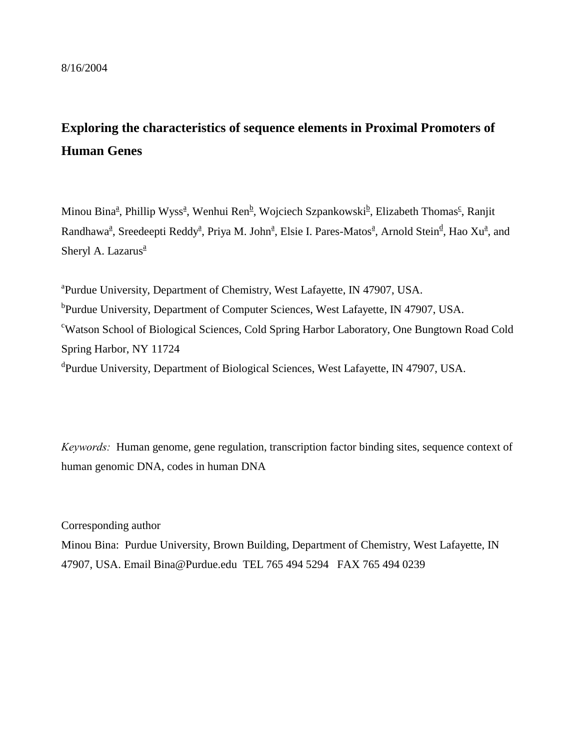# **Exploring the characteristics of sequence elements in Proximal Promoters of Human Genes**

Minou Bina<sup>a</sup>, Phillip Wyss<sup>a</sup>, Wenhui Ren<sup>b</sup>, Wojciech Szpankowski<sup>b</sup>, Elizabeth Thomas<sup>c</sup>, Ranjit Randhawa<sup>a</sup>, Sreedeepti Reddy<sup>a</sup>, Priya M. John<sup>a</sup>, Elsie I. Pares-Matos<sup>a</sup>, Arnold Stein<sup>d</sup>, Hao Xu<sup>a</sup>, and Sheryl A. Lazarus<sup>a</sup>

<sup>a</sup>Purdue University, Department of Chemistry, West Lafayette, IN 47907, USA. <sup>b</sup>Purdue University, Department of Computer Sciences, West Lafayette, IN 47907, USA. c Watson School of Biological Sciences, Cold Spring Harbor Laboratory, One Bungtown Road Cold Spring Harbor, NY 11724 <sup>d</sup>Purdue University, Department of Biological Sciences, West Lafayette, IN 47907, USA.

*Keywords:* Human genome, gene regulation, transcription factor binding sites, sequence context of human genomic DNA, codes in human DNA

Corresponding author

Minou Bina: Purdue University, Brown Building, Department of Chemistry, West Lafayette, IN 47907, USA. Email Bina@Purdue.edu TEL 765 494 5294 FAX 765 494 0239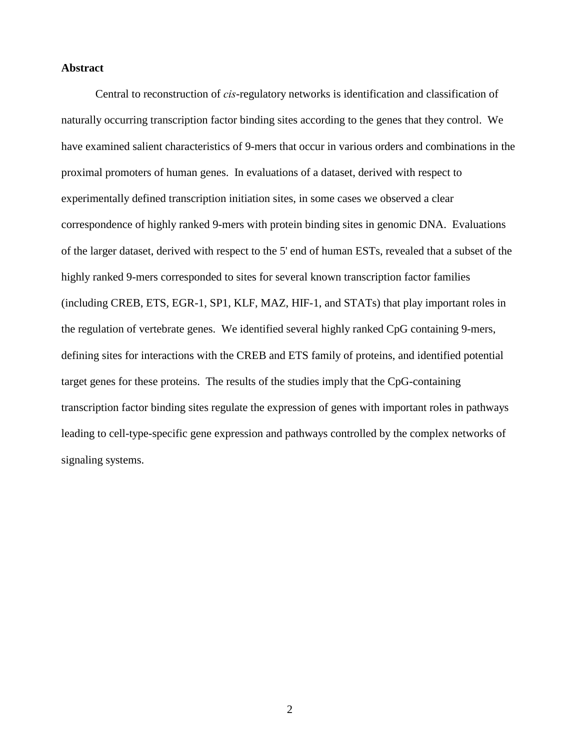# **Abstract**

 Central to reconstruction of *cis*-regulatory networks is identification and classification of naturally occurring transcription factor binding sites according to the genes that they control. We have examined salient characteristics of 9-mers that occur in various orders and combinations in the proximal promoters of human genes. In evaluations of a dataset, derived with respect to experimentally defined transcription initiation sites, in some cases we observed a clear correspondence of highly ranked 9-mers with protein binding sites in genomic DNA. Evaluations of the larger dataset, derived with respect to the 5' end of human ESTs, revealed that a subset of the highly ranked 9-mers corresponded to sites for several known transcription factor families (including CREB, ETS, EGR-1, SP1, KLF, MAZ, HIF-1, and STATs) that play important roles in the regulation of vertebrate genes. We identified several highly ranked CpG containing 9-mers, defining sites for interactions with the CREB and ETS family of proteins, and identified potential target genes for these proteins. The results of the studies imply that the CpG-containing transcription factor binding sites regulate the expression of genes with important roles in pathways leading to cell-type-specific gene expression and pathways controlled by the complex networks of signaling systems.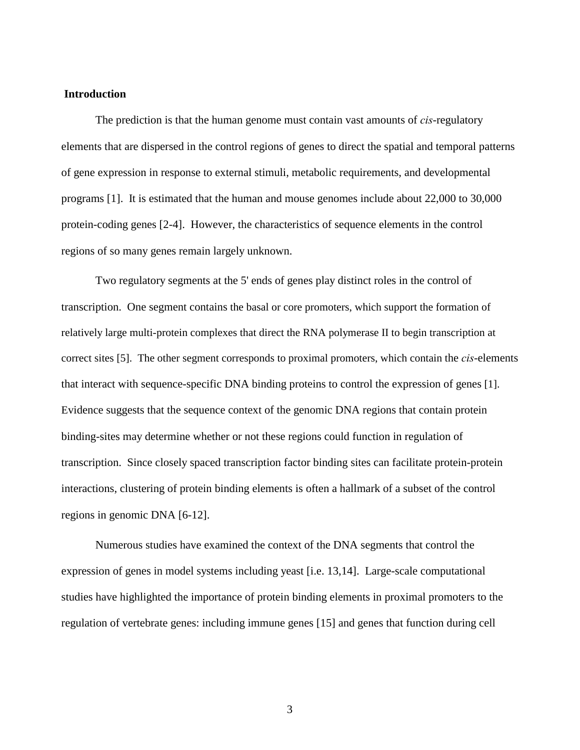## **Introduction**

 The prediction is that the human genome must contain vast amounts of *cis*-regulatory elements that are dispersed in the control regions of genes to direct the spatial and temporal patterns of gene expression in response to external stimuli, metabolic requirements, and developmental programs [1]. It is estimated that the human and mouse genomes include about 22,000 to 30,000 protein-coding genes [2-4]. However, the characteristics of sequence elements in the control regions of so many genes remain largely unknown.

 Two regulatory segments at the 5' ends of genes play distinct roles in the control of transcription. One segment contains the basal or core promoters, which support the formation of relatively large multi-protein complexes that direct the RNA polymerase II to begin transcription at correct sites [5]. The other segment corresponds to proximal promoters, which contain the *cis*-elements that interact with sequence-specific DNA binding proteins to control the expression of genes [1]. Evidence suggests that the sequence context of the genomic DNA regions that contain protein binding-sites may determine whether or not these regions could function in regulation of transcription. Since closely spaced transcription factor binding sites can facilitate protein-protein interactions, clustering of protein binding elements is often a hallmark of a subset of the control regions in genomic DNA [6-12].

 Numerous studies have examined the context of the DNA segments that control the expression of genes in model systems including yeast [i.e. 13,14]. Large-scale computational studies have highlighted the importance of protein binding elements in proximal promoters to the regulation of vertebrate genes: including immune genes [15] and genes that function during cell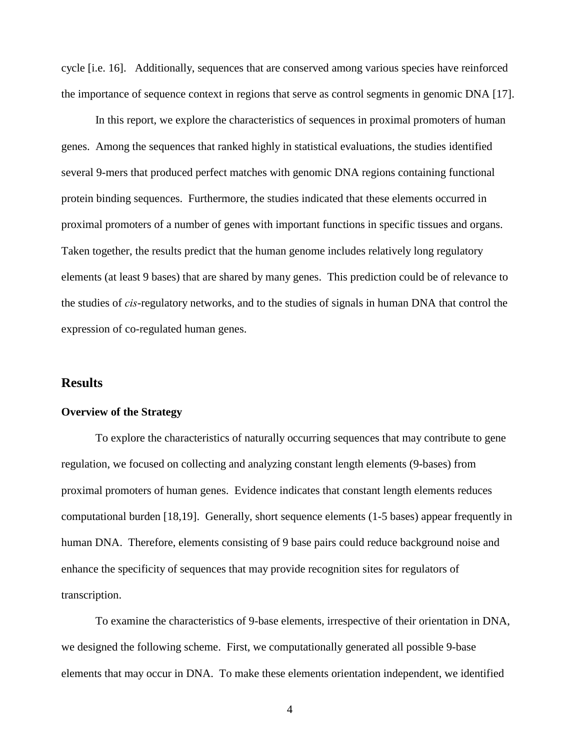cycle [i.e. 16]. Additionally, sequences that are conserved among various species have reinforced the importance of sequence context in regions that serve as control segments in genomic DNA [17].

In this report, we explore the characteristics of sequences in proximal promoters of human genes. Among the sequences that ranked highly in statistical evaluations, the studies identified several 9-mers that produced perfect matches with genomic DNA regions containing functional protein binding sequences. Furthermore, the studies indicated that these elements occurred in proximal promoters of a number of genes with important functions in specific tissues and organs. Taken together, the results predict that the human genome includes relatively long regulatory elements (at least 9 bases) that are shared by many genes. This prediction could be of relevance to the studies of *cis*-regulatory networks, and to the studies of signals in human DNA that control the expression of co-regulated human genes.

# **Results**

#### **Overview of the Strategy**

 To explore the characteristics of naturally occurring sequences that may contribute to gene regulation, we focused on collecting and analyzing constant length elements (9-bases) from proximal promoters of human genes. Evidence indicates that constant length elements reduces computational burden [18,19]. Generally, short sequence elements (1-5 bases) appear frequently in human DNA. Therefore, elements consisting of 9 base pairs could reduce background noise and enhance the specificity of sequences that may provide recognition sites for regulators of transcription.

To examine the characteristics of 9-base elements, irrespective of their orientation in DNA, we designed the following scheme. First, we computationally generated all possible 9-base elements that may occur in DNA. To make these elements orientation independent, we identified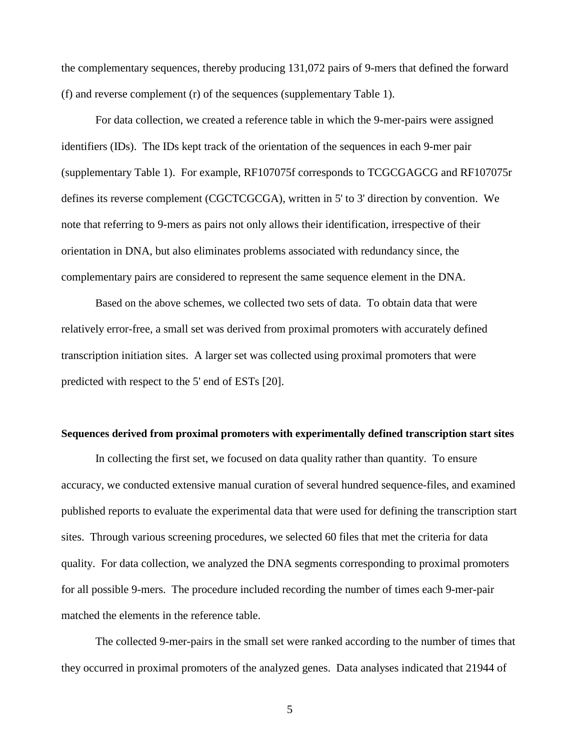the complementary sequences, thereby producing 131,072 pairs of 9-mers that defined the forward (f) and reverse complement (r) of the sequences (supplementary Table 1).

 For data collection, we created a reference table in which the 9-mer-pairs were assigned identifiers (IDs). The IDs kept track of the orientation of the sequences in each 9-mer pair (supplementary Table 1). For example, RF107075f corresponds to TCGCGAGCG and RF107075r defines its reverse complement (CGCTCGCGA), written in 5' to 3' direction by convention. We note that referring to 9-mers as pairs not only allows their identification, irrespective of their orientation in DNA, but also eliminates problems associated with redundancy since, the complementary pairs are considered to represent the same sequence element in the DNA.

 Based on the above schemes, we collected two sets of data. To obtain data that were relatively error-free, a small set was derived from proximal promoters with accurately defined transcription initiation sites. A larger set was collected using proximal promoters that were predicted with respect to the 5' end of ESTs [20].

## **Sequences derived from proximal promoters with experimentally defined transcription start sites**

In collecting the first set, we focused on data quality rather than quantity. To ensure accuracy, we conducted extensive manual curation of several hundred sequence-files, and examined published reports to evaluate the experimental data that were used for defining the transcription start sites. Through various screening procedures, we selected 60 files that met the criteria for data quality. For data collection, we analyzed the DNA segments corresponding to proximal promoters for all possible 9-mers. The procedure included recording the number of times each 9-mer-pair matched the elements in the reference table.

 The collected 9-mer-pairs in the small set were ranked according to the number of times that they occurred in proximal promoters of the analyzed genes. Data analyses indicated that 21944 of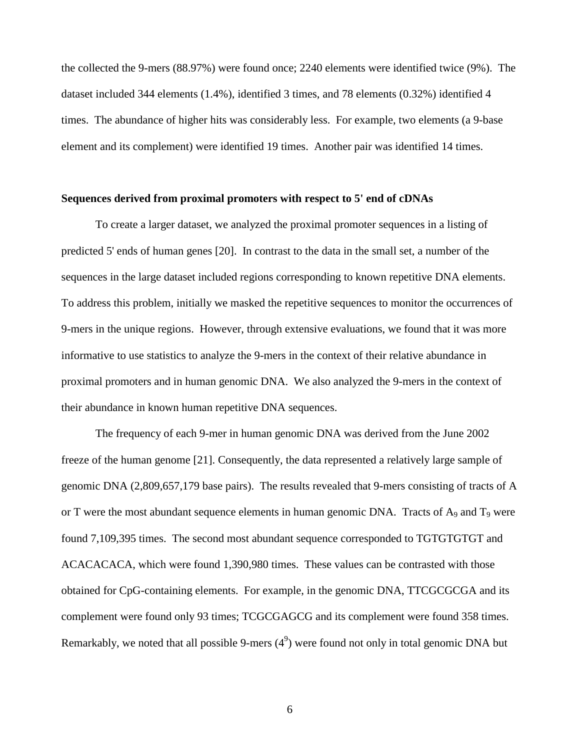the collected the 9-mers (88.97%) were found once; 2240 elements were identified twice (9%). The dataset included 344 elements (1.4%), identified 3 times, and 78 elements (0.32%) identified 4 times. The abundance of higher hits was considerably less. For example, two elements (a 9-base element and its complement) were identified 19 times. Another pair was identified 14 times.

#### **Sequences derived from proximal promoters with respect to 5' end of cDNAs**

 To create a larger dataset, we analyzed the proximal promoter sequences in a listing of predicted 5' ends of human genes [20]. In contrast to the data in the small set, a number of the sequences in the large dataset included regions corresponding to known repetitive DNA elements. To address this problem, initially we masked the repetitive sequences to monitor the occurrences of 9-mers in the unique regions. However, through extensive evaluations, we found that it was more informative to use statistics to analyze the 9-mers in the context of their relative abundance in proximal promoters and in human genomic DNA. We also analyzed the 9-mers in the context of their abundance in known human repetitive DNA sequences.

 The frequency of each 9-mer in human genomic DNA was derived from the June 2002 freeze of the human genome [21]. Consequently, the data represented a relatively large sample of genomic DNA (2,809,657,179 base pairs). The results revealed that 9-mers consisting of tracts of A or T were the most abundant sequence elements in human genomic DNA. Tracts of  $A_9$  and  $T_9$  were found 7,109,395 times. The second most abundant sequence corresponded to TGTGTGTGT and ACACACACA, which were found 1,390,980 times. These values can be contrasted with those obtained for CpG-containing elements. For example, in the genomic DNA, TTCGCGCGA and its complement were found only 93 times; TCGCGAGCG and its complement were found 358 times. Remarkably, we noted that all possible 9-mers  $(4^9)$  were found not only in total genomic DNA but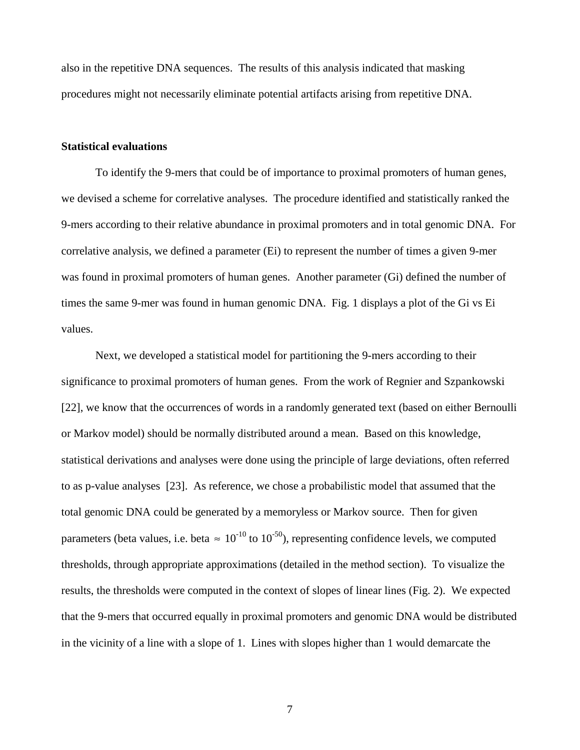also in the repetitive DNA sequences. The results of this analysis indicated that masking procedures might not necessarily eliminate potential artifacts arising from repetitive DNA.

## **Statistical evaluations**

 To identify the 9-mers that could be of importance to proximal promoters of human genes, we devised a scheme for correlative analyses. The procedure identified and statistically ranked the 9-mers according to their relative abundance in proximal promoters and in total genomic DNA. For correlative analysis, we defined a parameter (Ei) to represent the number of times a given 9-mer was found in proximal promoters of human genes. Another parameter (Gi) defined the number of times the same 9-mer was found in human genomic DNA. Fig. 1 displays a plot of the Gi vs Ei values.

 Next, we developed a statistical model for partitioning the 9-mers according to their significance to proximal promoters of human genes. From the work of Regnier and Szpankowski [22], we know that the occurrences of words in a randomly generated text (based on either Bernoulli or Markov model) should be normally distributed around a mean. Based on this knowledge, statistical derivations and analyses were done using the principle of large deviations, often referred to as p-value analyses [23]. As reference, we chose a probabilistic model that assumed that the total genomic DNA could be generated by a memoryless or Markov source. Then for given parameters (beta values, i.e. beta  $\approx 10^{-10}$  to  $10^{-50}$ ), representing confidence levels, we computed thresholds, through appropriate approximations (detailed in the method section). To visualize the results, the thresholds were computed in the context of slopes of linear lines (Fig. 2). We expected that the 9-mers that occurred equally in proximal promoters and genomic DNA would be distributed in the vicinity of a line with a slope of 1. Lines with slopes higher than 1 would demarcate the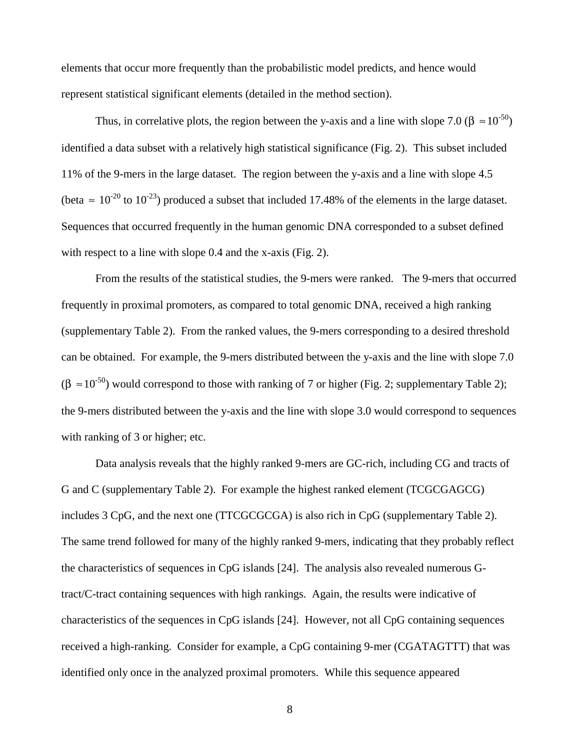elements that occur more frequently than the probabilistic model predicts, and hence would represent statistical significant elements (detailed in the method section).

Thus, in correlative plots, the region between the y-axis and a line with slope 7.0 ( $\beta \approx 10^{-50}$ ) identified a data subset with a relatively high statistical significance (Fig. 2). This subset included 11% of the 9-mers in the large dataset. The region between the y-axis and a line with slope 4.5 (beta  $\approx 10^{-20}$  to  $10^{-23}$ ) produced a subset that included 17.48% of the elements in the large dataset. Sequences that occurred frequently in the human genomic DNA corresponded to a subset defined with respect to a line with slope 0.4 and the x-axis (Fig. 2).

 From the results of the statistical studies, the 9-mers were ranked. The 9-mers that occurred frequently in proximal promoters, as compared to total genomic DNA, received a high ranking (supplementary Table 2). From the ranked values, the 9-mers corresponding to a desired threshold can be obtained. For example, the 9-mers distributed between the y-axis and the line with slope 7.0  $(\beta \approx 10^{-50})$  would correspond to those with ranking of 7 or higher (Fig. 2; supplementary Table 2); the 9-mers distributed between the y-axis and the line with slope 3.0 would correspond to sequences with ranking of 3 or higher; etc.

 Data analysis reveals that the highly ranked 9-mers are GC-rich, including CG and tracts of G and C (supplementary Table 2). For example the highest ranked element (TCGCGAGCG) includes 3 CpG, and the next one (TTCGCGCGA) is also rich in CpG (supplementary Table 2). The same trend followed for many of the highly ranked 9-mers, indicating that they probably reflect the characteristics of sequences in CpG islands [24]. The analysis also revealed numerous Gtract/C-tract containing sequences with high rankings. Again, the results were indicative of characteristics of the sequences in CpG islands [24]. However, not all CpG containing sequences received a high-ranking. Consider for example, a CpG containing 9-mer (CGATAGTTT) that was identified only once in the analyzed proximal promoters. While this sequence appeared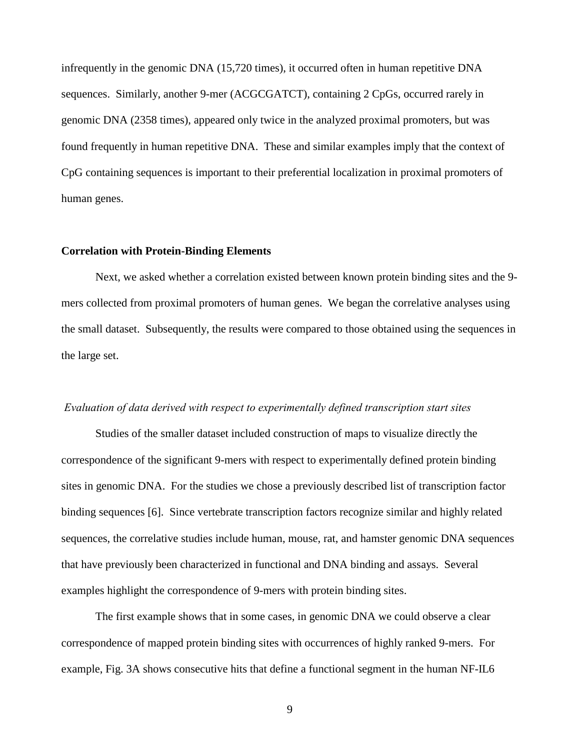infrequently in the genomic DNA (15,720 times), it occurred often in human repetitive DNA sequences. Similarly, another 9-mer (ACGCGATCT), containing 2 CpGs, occurred rarely in genomic DNA (2358 times), appeared only twice in the analyzed proximal promoters, but was found frequently in human repetitive DNA. These and similar examples imply that the context of CpG containing sequences is important to their preferential localization in proximal promoters of human genes.

## **Correlation with Protein-Binding Elements**

 Next, we asked whether a correlation existed between known protein binding sites and the 9 mers collected from proximal promoters of human genes. We began the correlative analyses using the small dataset. Subsequently, the results were compared to those obtained using the sequences in the large set.

#### *Evaluation of data derived with respect to experimentally defined transcription start sites*

 Studies of the smaller dataset included construction of maps to visualize directly the correspondence of the significant 9-mers with respect to experimentally defined protein binding sites in genomic DNA. For the studies we chose a previously described list of transcription factor binding sequences [6]. Since vertebrate transcription factors recognize similar and highly related sequences, the correlative studies include human, mouse, rat, and hamster genomic DNA sequences that have previously been characterized in functional and DNA binding and assays. Several examples highlight the correspondence of 9-mers with protein binding sites.

 The first example shows that in some cases, in genomic DNA we could observe a clear correspondence of mapped protein binding sites with occurrences of highly ranked 9-mers. For example, Fig. 3A shows consecutive hits that define a functional segment in the human NF-IL6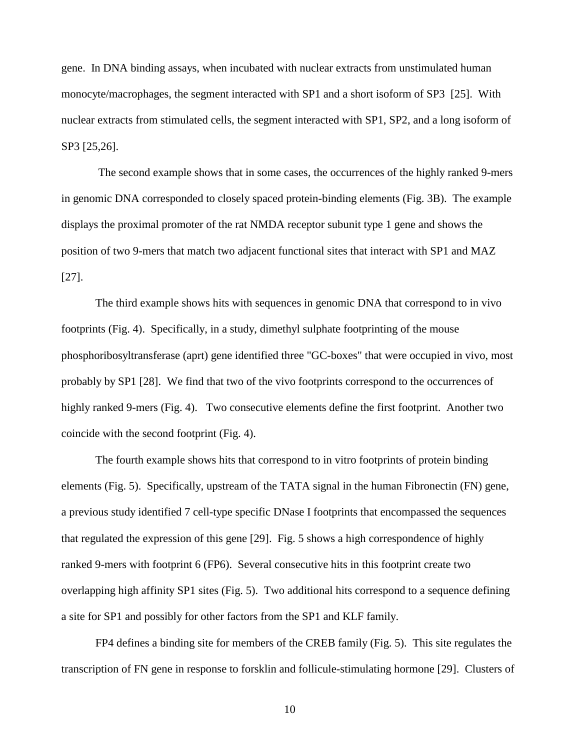gene. In DNA binding assays, when incubated with nuclear extracts from unstimulated human monocyte/macrophages, the segment interacted with SP1 and a short isoform of SP3 [25]. With nuclear extracts from stimulated cells, the segment interacted with SP1, SP2, and a long isoform of SP3 [25,26].

 The second example shows that in some cases, the occurrences of the highly ranked 9-mers in genomic DNA corresponded to closely spaced protein-binding elements (Fig. 3B). The example displays the proximal promoter of the rat NMDA receptor subunit type 1 gene and shows the position of two 9-mers that match two adjacent functional sites that interact with SP1 and MAZ [27].

 The third example shows hits with sequences in genomic DNA that correspond to in vivo footprints (Fig. 4). Specifically, in a study, dimethyl sulphate footprinting of the mouse phosphoribosyltransferase (aprt) gene identified three "GC-boxes" that were occupied in vivo, most probably by SP1 [28]. We find that two of the vivo footprints correspond to the occurrences of highly ranked 9-mers (Fig. 4). Two consecutive elements define the first footprint. Another two coincide with the second footprint (Fig. 4).

 The fourth example shows hits that correspond to in vitro footprints of protein binding elements (Fig. 5). Specifically, upstream of the TATA signal in the human Fibronectin (FN) gene, a previous study identified 7 cell-type specific DNase I footprints that encompassed the sequences that regulated the expression of this gene [29]. Fig. 5 shows a high correspondence of highly ranked 9-mers with footprint 6 (FP6). Several consecutive hits in this footprint create two overlapping high affinity SP1 sites (Fig. 5). Two additional hits correspond to a sequence defining a site for SP1 and possibly for other factors from the SP1 and KLF family.

 FP4 defines a binding site for members of the CREB family (Fig. 5). This site regulates the transcription of FN gene in response to forsklin and follicule-stimulating hormone [29]. Clusters of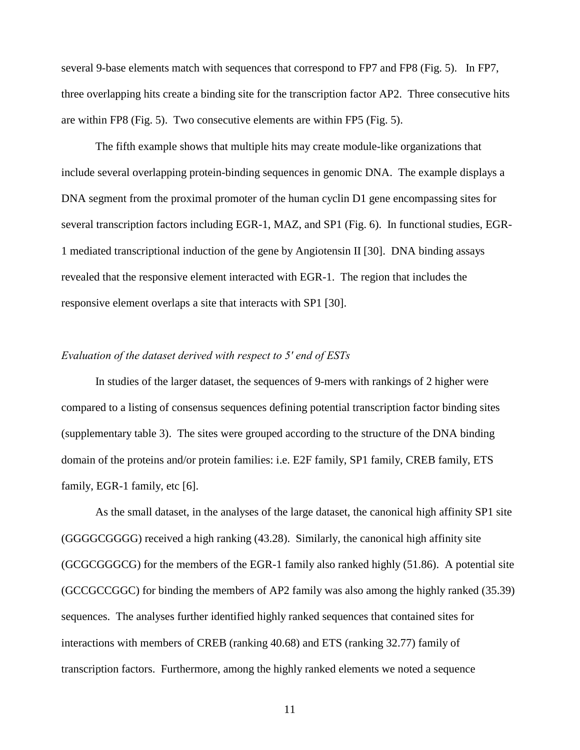several 9-base elements match with sequences that correspond to FP7 and FP8 (Fig. 5). In FP7, three overlapping hits create a binding site for the transcription factor AP2. Three consecutive hits are within FP8 (Fig. 5). Two consecutive elements are within FP5 (Fig. 5).

 The fifth example shows that multiple hits may create module-like organizations that include several overlapping protein-binding sequences in genomic DNA. The example displays a DNA segment from the proximal promoter of the human cyclin D1 gene encompassing sites for several transcription factors including EGR-1, MAZ, and SP1 (Fig. 6). In functional studies, EGR-1 mediated transcriptional induction of the gene by Angiotensin II [30]. DNA binding assays revealed that the responsive element interacted with EGR-1. The region that includes the responsive element overlaps a site that interacts with SP1 [30].

## *Evaluation of the dataset derived with respect to 5' end of ESTs*

 In studies of the larger dataset, the sequences of 9-mers with rankings of 2 higher were compared to a listing of consensus sequences defining potential transcription factor binding sites (supplementary table 3). The sites were grouped according to the structure of the DNA binding domain of the proteins and/or protein families: i.e. E2F family, SP1 family, CREB family, ETS family, EGR-1 family, etc [6].

 As the small dataset, in the analyses of the large dataset, the canonical high affinity SP1 site (GGGGCGGGG) received a high ranking (43.28). Similarly, the canonical high affinity site (GCGCGGGCG) for the members of the EGR-1 family also ranked highly (51.86). A potential site (GCCGCCGGC) for binding the members of AP2 family was also among the highly ranked (35.39) sequences. The analyses further identified highly ranked sequences that contained sites for interactions with members of CREB (ranking 40.68) and ETS (ranking 32.77) family of transcription factors. Furthermore, among the highly ranked elements we noted a sequence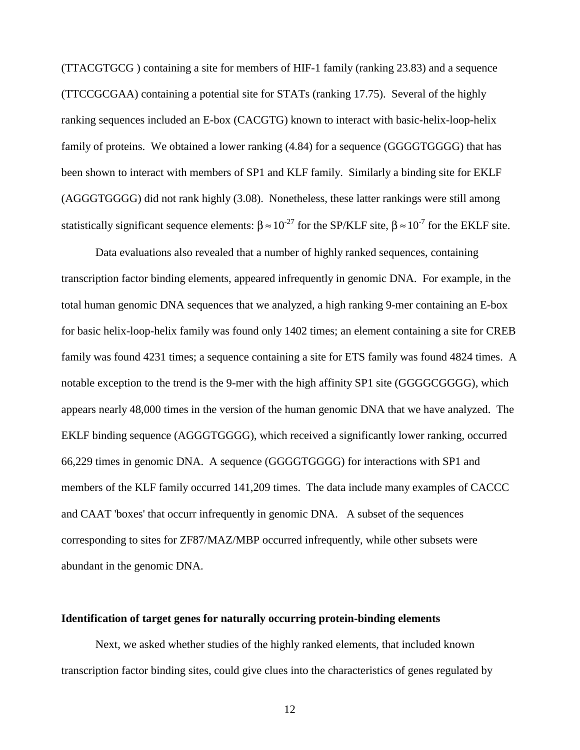(TTACGTGCG ) containing a site for members of HIF-1 family (ranking 23.83) and a sequence (TTCCGCGAA) containing a potential site for STATs (ranking 17.75). Several of the highly ranking sequences included an E-box (CACGTG) known to interact with basic-helix-loop-helix family of proteins. We obtained a lower ranking (4.84) for a sequence (GGGGTGGGG) that has been shown to interact with members of SP1 and KLF family. Similarly a binding site for EKLF (AGGGTGGGG) did not rank highly (3.08). Nonetheless, these latter rankings were still among statistically significant sequence elements:  $\beta \approx 10^{-27}$  for the SP/KLF site,  $\beta \approx 10^{-7}$  for the EKLF site.

 Data evaluations also revealed that a number of highly ranked sequences, containing transcription factor binding elements, appeared infrequently in genomic DNA. For example, in the total human genomic DNA sequences that we analyzed, a high ranking 9-mer containing an E-box for basic helix-loop-helix family was found only 1402 times; an element containing a site for CREB family was found 4231 times; a sequence containing a site for ETS family was found 4824 times. A notable exception to the trend is the 9-mer with the high affinity SP1 site (GGGGCGGGG), which appears nearly 48,000 times in the version of the human genomic DNA that we have analyzed. The EKLF binding sequence (AGGGTGGGG), which received a significantly lower ranking, occurred 66,229 times in genomic DNA. A sequence (GGGGTGGGG) for interactions with SP1 and members of the KLF family occurred 141,209 times. The data include many examples of CACCC and CAAT 'boxes' that occurr infrequently in genomic DNA. A subset of the sequences corresponding to sites for ZF87/MAZ/MBP occurred infrequently, while other subsets were abundant in the genomic DNA.

#### **Identification of target genes for naturally occurring protein-binding elements**

 Next, we asked whether studies of the highly ranked elements, that included known transcription factor binding sites, could give clues into the characteristics of genes regulated by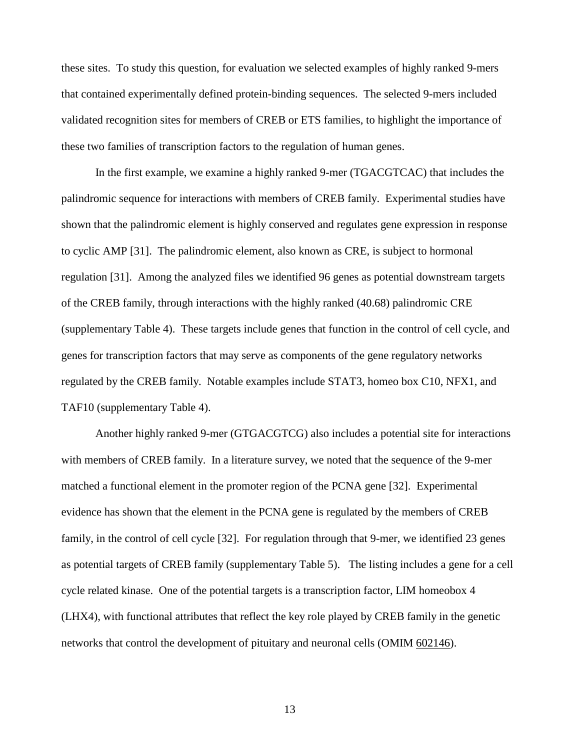these sites. To study this question, for evaluation we selected examples of highly ranked 9-mers that contained experimentally defined protein-binding sequences. The selected 9-mers included validated recognition sites for members of CREB or ETS families, to highlight the importance of these two families of transcription factors to the regulation of human genes.

 In the first example, we examine a highly ranked 9-mer (TGACGTCAC) that includes the palindromic sequence for interactions with members of CREB family. Experimental studies have shown that the palindromic element is highly conserved and regulates gene expression in response to cyclic AMP [31]. The palindromic element, also known as CRE, is subject to hormonal regulation [31]. Among the analyzed files we identified 96 genes as potential downstream targets of the CREB family, through interactions with the highly ranked (40.68) palindromic CRE (supplementary Table 4). These targets include genes that function in the control of cell cycle, and genes for transcription factors that may serve as components of the gene regulatory networks regulated by the CREB family. Notable examples include STAT3, homeo box C10, NFX1, and TAF10 (supplementary Table 4).

 Another highly ranked 9-mer (GTGACGTCG) also includes a potential site for interactions with members of CREB family. In a literature survey, we noted that the sequence of the 9-mer matched a functional element in the promoter region of the PCNA gene [32]. Experimental evidence has shown that the element in the PCNA gene is regulated by the members of CREB family, in the control of cell cycle [32]. For regulation through that 9-mer, we identified 23 genes as potential targets of CREB family (supplementary Table 5). The listing includes a gene for a cell cycle related kinase. One of the potential targets is a transcription factor, LIM homeobox 4 (LHX4), with functional attributes that reflect the key role played by CREB family in the genetic networks that control the development of pituitary and neuronal cells (OMIM 602146).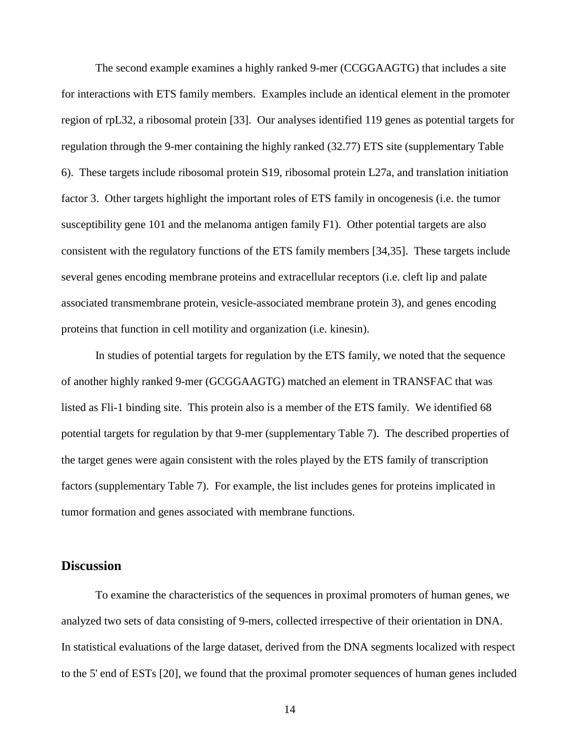The second example examines a highly ranked 9-mer (CCGGAAGTG) that includes a site for interactions with ETS family members. Examples include an identical element in the promoter region of rpL32, a ribosomal protein [33]. Our analyses identified 119 genes as potential targets for regulation through the 9-mer containing the highly ranked (32.77) ETS site (supplementary Table 6). These targets include ribosomal protein S19, ribosomal protein L27a, and translation initiation factor 3. Other targets highlight the important roles of ETS family in oncogenesis (i.e. the tumor susceptibility gene 101 and the melanoma antigen family F1). Other potential targets are also consistent with the regulatory functions of the ETS family members [34,35]. These targets include several genes encoding membrane proteins and extracellular receptors (i.e. cleft lip and palate associated transmembrane protein, vesicle-associated membrane protein 3), and genes encoding proteins that function in cell motility and organization (i.e. kinesin).

 In studies of potential targets for regulation by the ETS family, we noted that the sequence of another highly ranked 9-mer (GCGGAAGTG) matched an element in TRANSFAC that was listed as Fli-1 binding site. This protein also is a member of the ETS family. We identified 68 potential targets for regulation by that 9-mer (supplementary Table 7). The described properties of the target genes were again consistent with the roles played by the ETS family of transcription factors (supplementary Table 7). For example, the list includes genes for proteins implicated in tumor formation and genes associated with membrane functions.

# **Discussion**

 To examine the characteristics of the sequences in proximal promoters of human genes, we analyzed two sets of data consisting of 9-mers, collected irrespective of their orientation in DNA. In statistical evaluations of the large dataset, derived from the DNA segments localized with respect to the 5' end of ESTs [20], we found that the proximal promoter sequences of human genes included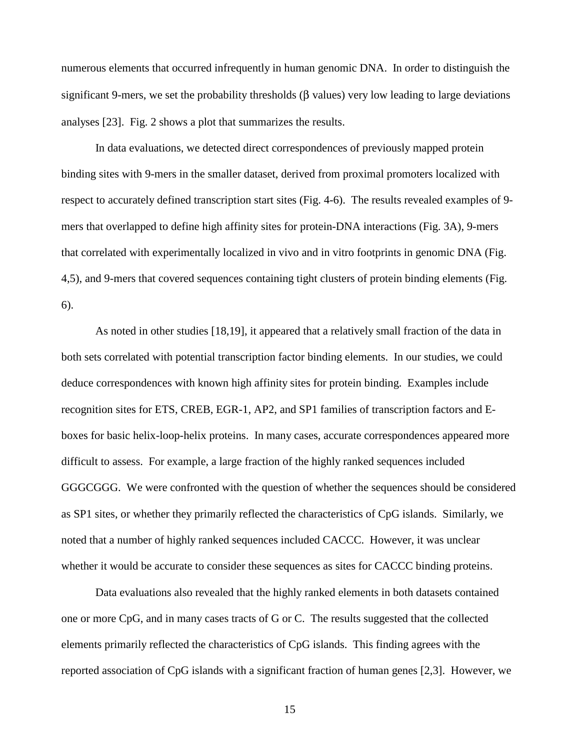numerous elements that occurred infrequently in human genomic DNA. In order to distinguish the significant 9-mers, we set the probability thresholds (β values) very low leading to large deviations analyses [23]. Fig. 2 shows a plot that summarizes the results.

 In data evaluations, we detected direct correspondences of previously mapped protein binding sites with 9-mers in the smaller dataset, derived from proximal promoters localized with respect to accurately defined transcription start sites (Fig. 4-6). The results revealed examples of 9 mers that overlapped to define high affinity sites for protein-DNA interactions (Fig. 3A), 9-mers that correlated with experimentally localized in vivo and in vitro footprints in genomic DNA (Fig. 4,5), and 9-mers that covered sequences containing tight clusters of protein binding elements (Fig. 6).

 As noted in other studies [18,19], it appeared that a relatively small fraction of the data in both sets correlated with potential transcription factor binding elements. In our studies, we could deduce correspondences with known high affinity sites for protein binding. Examples include recognition sites for ETS, CREB, EGR-1, AP2, and SP1 families of transcription factors and Eboxes for basic helix-loop-helix proteins. In many cases, accurate correspondences appeared more difficult to assess. For example, a large fraction of the highly ranked sequences included GGGCGGG. We were confronted with the question of whether the sequences should be considered as SP1 sites, or whether they primarily reflected the characteristics of CpG islands. Similarly, we noted that a number of highly ranked sequences included CACCC. However, it was unclear whether it would be accurate to consider these sequences as sites for CACCC binding proteins.

 Data evaluations also revealed that the highly ranked elements in both datasets contained one or more CpG, and in many cases tracts of G or C. The results suggested that the collected elements primarily reflected the characteristics of CpG islands. This finding agrees with the reported association of CpG islands with a significant fraction of human genes [2,3]. However, we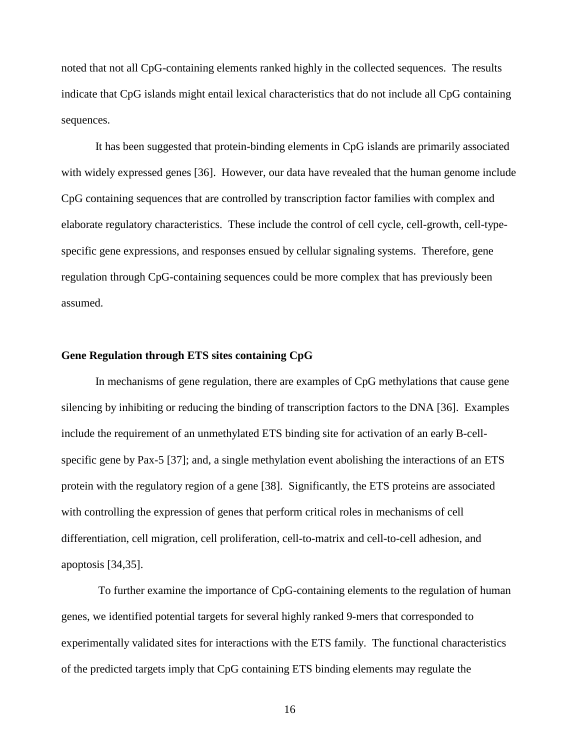noted that not all CpG-containing elements ranked highly in the collected sequences. The results indicate that CpG islands might entail lexical characteristics that do not include all CpG containing sequences.

 It has been suggested that protein-binding elements in CpG islands are primarily associated with widely expressed genes [36]. However, our data have revealed that the human genome include CpG containing sequences that are controlled by transcription factor families with complex and elaborate regulatory characteristics. These include the control of cell cycle, cell-growth, cell-typespecific gene expressions, and responses ensued by cellular signaling systems. Therefore, gene regulation through CpG-containing sequences could be more complex that has previously been assumed.

#### **Gene Regulation through ETS sites containing CpG**

 In mechanisms of gene regulation, there are examples of CpG methylations that cause gene silencing by inhibiting or reducing the binding of transcription factors to the DNA [36]. Examples include the requirement of an unmethylated ETS binding site for activation of an early B-cellspecific gene by Pax-5 [37]; and, a single methylation event abolishing the interactions of an ETS protein with the regulatory region of a gene [38]. Significantly, the ETS proteins are associated with controlling the expression of genes that perform critical roles in mechanisms of cell differentiation, cell migration, cell proliferation, cell-to-matrix and cell-to-cell adhesion, and apoptosis [34,35].

 To further examine the importance of CpG-containing elements to the regulation of human genes, we identified potential targets for several highly ranked 9-mers that corresponded to experimentally validated sites for interactions with the ETS family. The functional characteristics of the predicted targets imply that CpG containing ETS binding elements may regulate the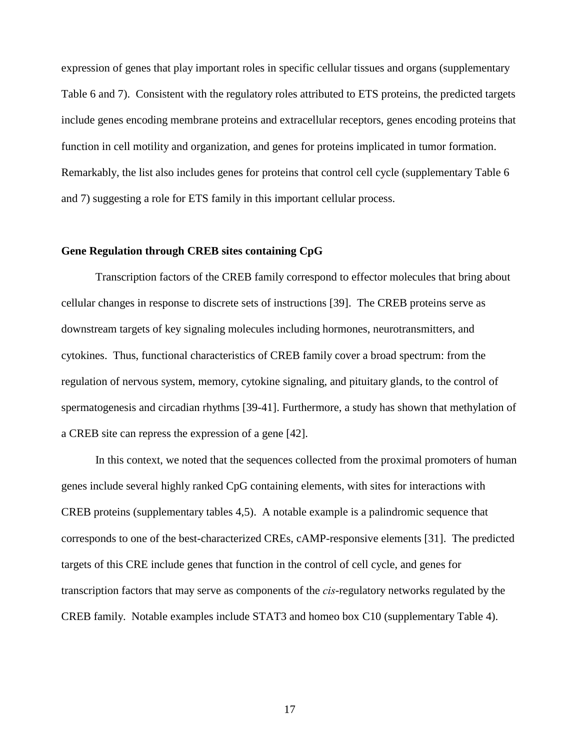expression of genes that play important roles in specific cellular tissues and organs (supplementary Table 6 and 7). Consistent with the regulatory roles attributed to ETS proteins, the predicted targets include genes encoding membrane proteins and extracellular receptors, genes encoding proteins that function in cell motility and organization, and genes for proteins implicated in tumor formation. Remarkably, the list also includes genes for proteins that control cell cycle (supplementary Table 6 and 7) suggesting a role for ETS family in this important cellular process.

## **Gene Regulation through CREB sites containing CpG**

Transcription factors of the CREB family correspond to effector molecules that bring about cellular changes in response to discrete sets of instructions [39]. The CREB proteins serve as downstream targets of key signaling molecules including hormones, neurotransmitters, and cytokines. Thus, functional characteristics of CREB family cover a broad spectrum: from the regulation of nervous system, memory, cytokine signaling, and pituitary glands, to the control of spermatogenesis and circadian rhythms [39-41]. Furthermore, a study has shown that methylation of a CREB site can repress the expression of a gene [42].

In this context, we noted that the sequences collected from the proximal promoters of human genes include several highly ranked CpG containing elements, with sites for interactions with CREB proteins (supplementary tables 4,5). A notable example is a palindromic sequence that corresponds to one of the best-characterized CREs, cAMP-responsive elements [31]. The predicted targets of this CRE include genes that function in the control of cell cycle, and genes for transcription factors that may serve as components of the *cis*-regulatory networks regulated by the CREB family. Notable examples include STAT3 and homeo box C10 (supplementary Table 4).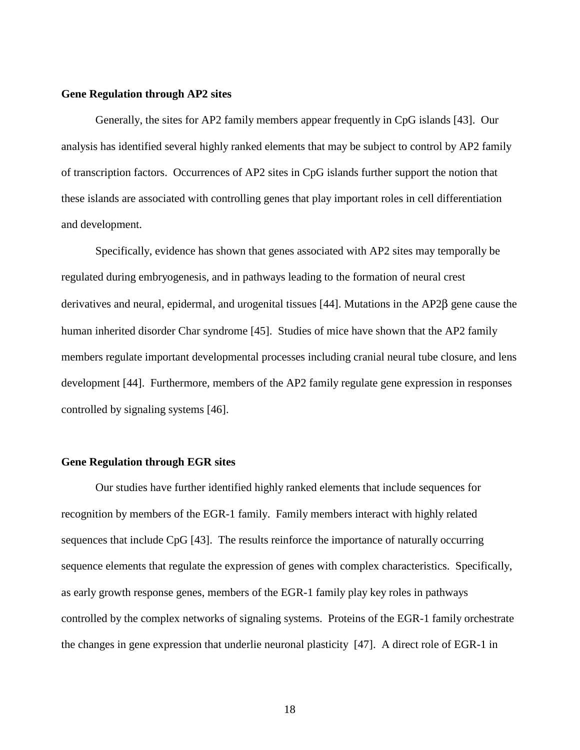#### **Gene Regulation through AP2 sites**

 Generally, the sites for AP2 family members appear frequently in CpG islands [43]. Our analysis has identified several highly ranked elements that may be subject to control by AP2 family of transcription factors. Occurrences of AP2 sites in CpG islands further support the notion that these islands are associated with controlling genes that play important roles in cell differentiation and development.

Specifically, evidence has shown that genes associated with AP2 sites may temporally be regulated during embryogenesis, and in pathways leading to the formation of neural crest derivatives and neural, epidermal, and urogenital tissues [44]. Mutations in the AP2β gene cause the human inherited disorder Char syndrome [45]. Studies of mice have shown that the AP2 family members regulate important developmental processes including cranial neural tube closure, and lens development [44]. Furthermore, members of the AP2 family regulate gene expression in responses controlled by signaling systems [46].

#### **Gene Regulation through EGR sites**

Our studies have further identified highly ranked elements that include sequences for recognition by members of the EGR-1 family. Family members interact with highly related sequences that include CpG [43]. The results reinforce the importance of naturally occurring sequence elements that regulate the expression of genes with complex characteristics. Specifically, as early growth response genes, members of the EGR-1 family play key roles in pathways controlled by the complex networks of signaling systems. Proteins of the EGR-1 family orchestrate the changes in gene expression that underlie neuronal plasticity [47]. A direct role of EGR-1 in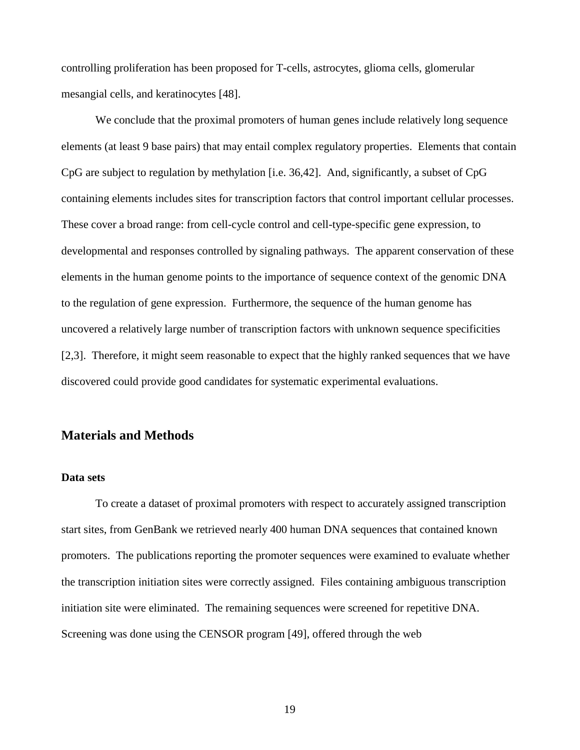controlling proliferation has been proposed for T-cells, astrocytes, glioma cells, glomerular mesangial cells, and keratinocytes [48].

We conclude that the proximal promoters of human genes include relatively long sequence elements (at least 9 base pairs) that may entail complex regulatory properties. Elements that contain CpG are subject to regulation by methylation [i.e. 36,42]. And, significantly, a subset of CpG containing elements includes sites for transcription factors that control important cellular processes. These cover a broad range: from cell-cycle control and cell-type-specific gene expression, to developmental and responses controlled by signaling pathways. The apparent conservation of these elements in the human genome points to the importance of sequence context of the genomic DNA to the regulation of gene expression. Furthermore, the sequence of the human genome has uncovered a relatively large number of transcription factors with unknown sequence specificities [2,3]. Therefore, it might seem reasonable to expect that the highly ranked sequences that we have discovered could provide good candidates for systematic experimental evaluations.

# **Materials and Methods**

#### **Data sets**

 To create a dataset of proximal promoters with respect to accurately assigned transcription start sites, from GenBank we retrieved nearly 400 human DNA sequences that contained known promoters. The publications reporting the promoter sequences were examined to evaluate whether the transcription initiation sites were correctly assigned. Files containing ambiguous transcription initiation site were eliminated. The remaining sequences were screened for repetitive DNA. Screening was done using the CENSOR program [49], offered through the web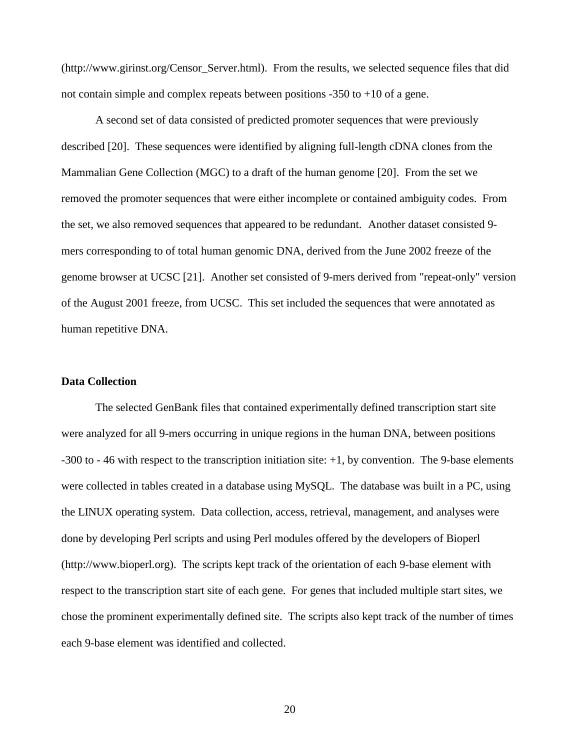(http://www.girinst.org/Censor\_Server.html). From the results, we selected sequence files that did not contain simple and complex repeats between positions -350 to +10 of a gene.

 A second set of data consisted of predicted promoter sequences that were previously described [20]. These sequences were identified by aligning full-length cDNA clones from the Mammalian Gene Collection (MGC) to a draft of the human genome [20]. From the set we removed the promoter sequences that were either incomplete or contained ambiguity codes. From the set, we also removed sequences that appeared to be redundant. Another dataset consisted 9 mers corresponding to of total human genomic DNA, derived from the June 2002 freeze of the genome browser at UCSC [21]. Another set consisted of 9-mers derived from "repeat-only" version of the August 2001 freeze, from UCSC. This set included the sequences that were annotated as human repetitive DNA.

## **Data Collection**

 The selected GenBank files that contained experimentally defined transcription start site were analyzed for all 9-mers occurring in unique regions in the human DNA, between positions -300 to - 46 with respect to the transcription initiation site: +1, by convention. The 9-base elements were collected in tables created in a database using MySQL. The database was built in a PC, using the LINUX operating system. Data collection, access, retrieval, management, and analyses were done by developing Perl scripts and using Perl modules offered by the developers of Bioperl (http://www.bioperl.org). The scripts kept track of the orientation of each 9-base element with respect to the transcription start site of each gene. For genes that included multiple start sites, we chose the prominent experimentally defined site. The scripts also kept track of the number of times each 9-base element was identified and collected.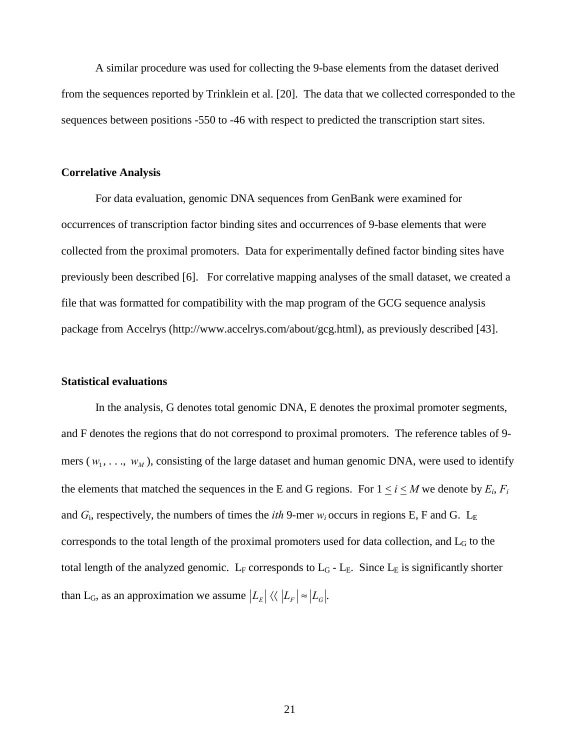A similar procedure was used for collecting the 9-base elements from the dataset derived from the sequences reported by Trinklein et al. [20]. The data that we collected corresponded to the sequences between positions -550 to -46 with respect to predicted the transcription start sites.

#### **Correlative Analysis**

 For data evaluation, genomic DNA sequences from GenBank were examined for occurrences of transcription factor binding sites and occurrences of 9-base elements that were collected from the proximal promoters. Data for experimentally defined factor binding sites have previously been described [6]. For correlative mapping analyses of the small dataset, we created a file that was formatted for compatibility with the map program of the GCG sequence analysis package from Accelrys (http://www.accelrys.com/about/gcg.html), as previously described [43].

## **Statistical evaluations**

 In the analysis, G denotes total genomic DNA, E denotes the proximal promoter segments, and F denotes the regions that do not correspond to proximal promoters. The reference tables of 9 mers ( $w_1, \ldots, w_M$ ), consisting of the large dataset and human genomic DNA, were used to identify the elements that matched the sequences in the E and G regions. For  $1 \le i \le M$  we denote by  $E_i$ ,  $F_i$ and  $G_i$ , respectively, the numbers of times the *ith* 9-mer  $w_i$  occurs in regions E, F and G. L<sub>E</sub> corresponds to the total length of the proximal promoters used for data collection, and LG to the total length of the analyzed genomic.  $L_F$  corresponds to  $L_G$  -  $L_E$ . Since  $L_E$  is significantly shorter than L<sub>G</sub>, as an approximation we assume  $|L_E| \langle \langle |L_F| \approx |L_G|$ .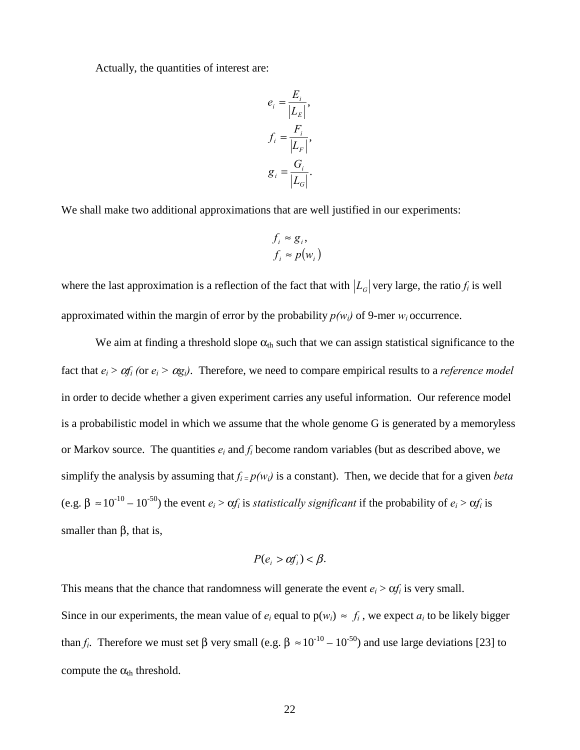Actually, the quantities of interest are:

$$
e_i = \frac{E_i}{|L_E|},
$$
  

$$
f_i = \frac{F_i}{|L_F|},
$$
  

$$
g_i = \frac{G_i}{|L_G|}.
$$

We shall make two additional approximations that are well justified in our experiments:

$$
f_i \approx g_i,
$$
  

$$
f_i \approx p(w_i)
$$

where the last approximation is a reflection of the fact that with  $|L_G|$  very large, the ratio  $f_i$  is well approximated within the margin of error by the probability  $p(w_i)$  of 9-mer  $w_i$  occurrence.

We aim at finding a threshold slope  $\alpha_{th}$  such that we can assign statistical significance to the fact that  $e_i > \alpha f_i$  (or  $e_i > \alpha g_i$ ). Therefore, we need to compare empirical results to a *reference model* in order to decide whether a given experiment carries any useful information. Our reference model is a probabilistic model in which we assume that the whole genome G is generated by a memoryless or Markov source. The quantities *ei* and *fi* become random variables (but as described above, we simplify the analysis by assuming that  $f_i = p(w_i)$  is a constant). Then, we decide that for a given *beta* (e.g. β ≈10-10 – 10-50) the event *ei* > α*fi* is *statistically significant* if the probability of *ei* > α*fi* is smaller than  $\beta$ , that is,

$$
P(e_i > \alpha f_i) < \beta.
$$

This means that the chance that randomness will generate the event  $e_i > \alpha f_i$  is very small. Since in our experiments, the mean value of  $e_i$  equal to  $p(w_i) \approx f_i$ , we expect  $a_i$  to be likely bigger than *f<sub>i</sub>*. Therefore we must set  $\beta$  very small (e.g.  $\beta \approx 10^{-10} - 10^{-50}$ ) and use large deviations [23] to compute the  $\alpha_{\text{th}}$  threshold.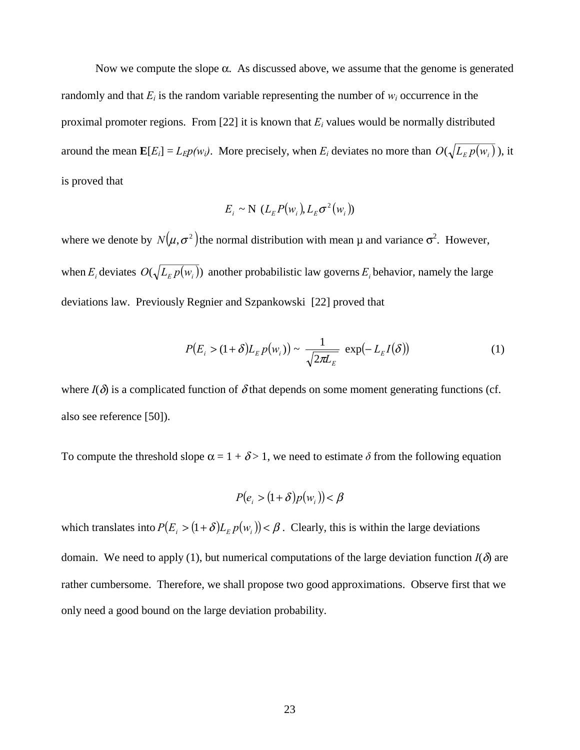Now we compute the slope  $\alpha$ . As discussed above, we assume that the genome is generated randomly and that  $E_i$  is the random variable representing the number of  $w_i$  occurrence in the proximal promoter regions. From  $[22]$  it is known that  $E<sub>i</sub>$  values would be normally distributed around the mean  $\mathbf{E}[E_i] = L_E p(w_i)$ . More precisely, when  $E_i$  deviates no more than  $O(\sqrt{L_E p(w_i)})$ , it is proved that

$$
E_i \sim \mathbf{N} \ (L_E P(w_i), L_E \sigma^2(w_i))
$$

where we denote by  $N(\mu, \sigma^2)$  the normal distribution with mean  $\mu$  and variance  $\sigma^2$ . However, when  $E_i$  deviates  $O(\sqrt{L_E p(w_i)})$  another probabilistic law governs  $E_i$  behavior, namely the large deviations law. Previously Regnier and Szpankowski [22] proved that

$$
P(E_i > (1+\delta)L_E p(w_i)) \sim \frac{1}{\sqrt{2\pi L_E}} \exp(-L_E I(\delta))
$$
 (1)

where  $I(\delta)$  is a complicated function of  $\delta$  that depends on some moment generating functions (cf. also see reference [50]).

To compute the threshold slope  $\alpha = 1 + \delta > 1$ , we need to estimate  $\delta$  from the following equation

$$
P(e_i > (1+\delta)p(w_i)) < \beta
$$

which translates into  $P(E_i > (1 + \delta) L_E p(w_i)) < \beta$ . Clearly, this is within the large deviations domain. We need to apply (1), but numerical computations of the large deviation function  $I(\delta)$  are rather cumbersome. Therefore, we shall propose two good approximations. Observe first that we only need a good bound on the large deviation probability.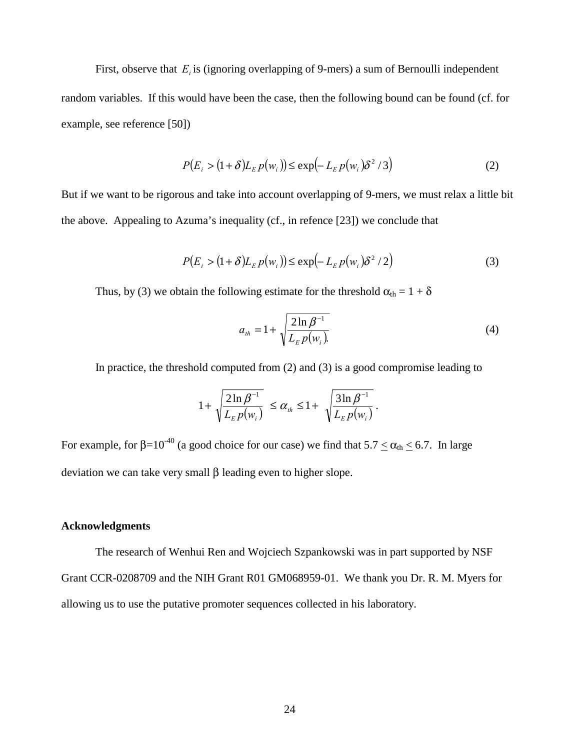First, observe that  $E_i$  is (ignoring overlapping of 9-mers) a sum of Bernoulli independent random variables. If this would have been the case, then the following bound can be found (cf. for example, see reference [50])

$$
P(E_i > (1+\delta)L_E p(w_i)) \le \exp(-L_E p(w_i)\delta^2 / 3)
$$
\n(2)

But if we want to be rigorous and take into account overlapping of 9-mers, we must relax a little bit the above. Appealing to Azuma's inequality (cf., in refence [23]) we conclude that

$$
P(E_i > (1+\delta)L_E p(w_i)) \le \exp(-L_E p(w_i)\delta^2 / 2)
$$
\n(3)

Thus, by (3) we obtain the following estimate for the threshold  $\alpha_{\text{th}} = 1 + \delta$ 

$$
a_{th} = 1 + \sqrt{\frac{2 \ln \beta^{-1}}{L_E p(w_i)}}\tag{4}
$$

In practice, the threshold computed from (2) and (3) is a good compromise leading to

$$
1+\sqrt{\frac{2\ln\beta^{-1}}{L_E p(w_i)}} \leq \alpha_{\scriptscriptstyle{th}} \leq 1+\sqrt{\frac{3\ln\beta^{-1}}{L_E p(w_i)}}.
$$

For example, for  $\beta = 10^{-40}$  (a good choice for our case) we find that  $5.7 \le \alpha_{th} \le 6.7$ . In large deviation we can take very small β leading even to higher slope.

## **Acknowledgments**

 The research of Wenhui Ren and Wojciech Szpankowski was in part supported by NSF Grant CCR-0208709 and the NIH Grant R01 GM068959-01. We thank you Dr. R. M. Myers for allowing us to use the putative promoter sequences collected in his laboratory.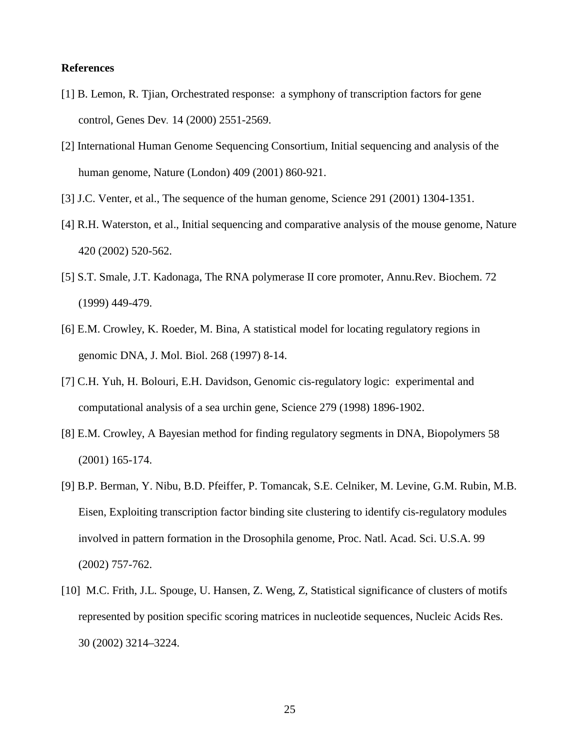# **References**

- [1] B. Lemon, R. Tjian, Orchestrated response: a symphony of transcription factors for gene control, Genes Dev*.* 14 (2000) 2551-2569.
- [2] International Human Genome Sequencing Consortium, Initial sequencing and analysis of the human genome, Nature (London) 409 (2001) 860-921.
- [3] J.C. Venter, et al., The sequence of the human genome, Science 291 (2001) 1304-1351.
- [4] R.H. Waterston, et al., Initial sequencing and comparative analysis of the mouse genome, Nature 420 (2002) 520-562.
- [5] S.T. Smale, J.T. Kadonaga, The RNA polymerase II core promoter, Annu.Rev. Biochem. 72 (1999) 449-479.
- [6] E.M. Crowley, K. Roeder, M. Bina, A statistical model for locating regulatory regions in genomic DNA, J. Mol. Biol. 268 (1997) 8-14.
- [7] C.H. Yuh, H. Bolouri, E.H. Davidson, Genomic cis-regulatory logic: experimental and computational analysis of a sea urchin gene, Science 279 (1998) 1896-1902.
- [8] E.M. Crowley, A Bayesian method for finding regulatory segments in DNA, Biopolymers 58 (2001) 165-174.
- [9] B.P. Berman, Y. Nibu, B.D. Pfeiffer, P. Tomancak, S.E. Celniker, M. Levine, G.M. Rubin, M.B. Eisen, Exploiting transcription factor binding site clustering to identify cis-regulatory modules involved in pattern formation in the Drosophila genome, Proc. Natl. Acad. Sci. U.S.A. 99 (2002) 757-762.
- [10] M.C. Frith, J.L. Spouge, U. Hansen, Z. Weng, Z, Statistical significance of clusters of motifs represented by position specific scoring matrices in nucleotide sequences, Nucleic Acids Res. 30 (2002) 3214–3224.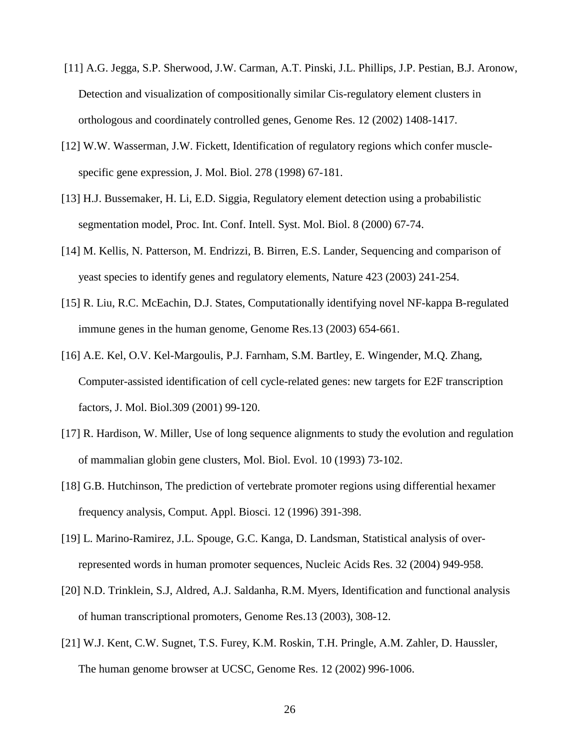- [11] A.G. Jegga, S.P. Sherwood, J.W. Carman, A.T. Pinski, J.L. Phillips, J.P. Pestian, B.J. Aronow, Detection and visualization of compositionally similar Cis-regulatory element clusters in orthologous and coordinately controlled genes, Genome Res. 12 (2002) 1408-1417.
- [12] W.W. Wasserman, J.W. Fickett, Identification of regulatory regions which confer musclespecific gene expression, J. Mol. Biol. 278 (1998) 67-181.
- [13] H.J. Bussemaker, H. Li, E.D. Siggia, Regulatory element detection using a probabilistic segmentation model, Proc. Int. Conf. Intell. Syst. Mol. Biol. 8 (2000) 67-74.
- [14] M. Kellis, N. Patterson, M. Endrizzi, B. Birren, E.S. Lander, Sequencing and comparison of yeast species to identify genes and regulatory elements, Nature 423 (2003) 241-254.
- [15] R. Liu, R.C. McEachin, D.J. States, Computationally identifying novel NF-kappa B-regulated immune genes in the human genome, Genome Res.13 (2003) 654-661.
- [16] A.E. Kel, O.V. Kel-Margoulis, P.J. Farnham, S.M. Bartley, E. Wingender, M.Q. Zhang, Computer-assisted identification of cell cycle-related genes: new targets for E2F transcription factors, J. Mol. Biol.309 (2001) 99-120.
- [17] R. Hardison, W. Miller, Use of long sequence alignments to study the evolution and regulation of mammalian globin gene clusters, Mol. Biol. Evol. 10 (1993) 73-102.
- [18] G.B. Hutchinson, The prediction of vertebrate promoter regions using differential hexamer frequency analysis, Comput. Appl. Biosci. 12 (1996) 391-398.
- [19] L. Marino-Ramirez, J.L. Spouge, G.C. Kanga, D. Landsman, Statistical analysis of overrepresented words in human promoter sequences, Nucleic Acids Res. 32 (2004) 949-958.
- [20] N.D. Trinklein, S.J, Aldred, A.J. Saldanha, R.M. Myers, Identification and functional analysis of human transcriptional promoters, Genome Res.13 (2003), 308-12.
- [21] W.J. Kent, C.W. Sugnet, T.S. Furey, K.M. Roskin, T.H. Pringle, A.M. Zahler, D. Haussler, The human genome browser at UCSC, Genome Res. 12 (2002) 996-1006.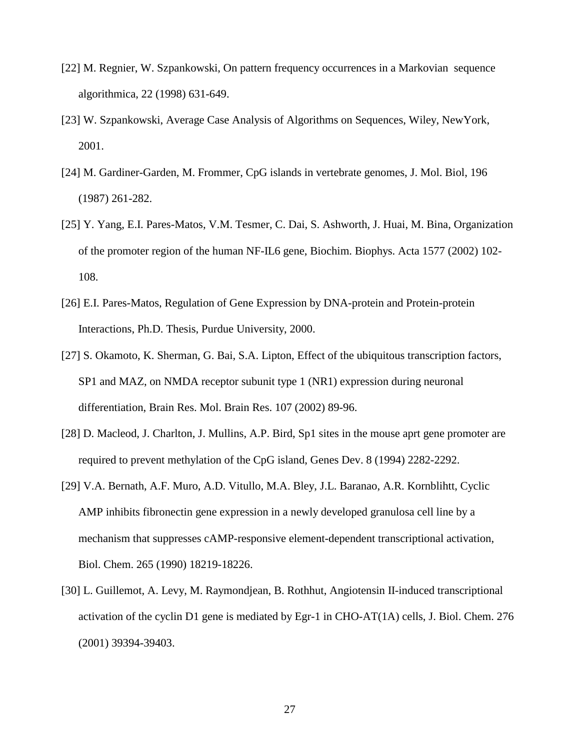- [22] M. Regnier, W. Szpankowski, On pattern frequency occurrences in a Markovian sequence algorithmica, 22 (1998) 631-649.
- [23] W. Szpankowski, Average Case Analysis of Algorithms on Sequences, Wiley, NewYork, 2001.
- [24] M. Gardiner-Garden, M. Frommer, CpG islands in vertebrate genomes, J. Mol. Biol, 196 (1987) 261-282.
- [25] Y. Yang, E.I. Pares-Matos, V.M. Tesmer, C. Dai, S. Ashworth, J. Huai, M. Bina, Organization of the promoter region of the human NF-IL6 gene, Biochim. Biophys. Acta 1577 (2002) 102- 108.
- [26] E.I. Pares-Matos, Regulation of Gene Expression by DNA-protein and Protein-protein Interactions, Ph.D. Thesis, Purdue University, 2000.
- [27] S. Okamoto, K. Sherman, G. Bai, S.A. Lipton, Effect of the ubiquitous transcription factors, SP1 and MAZ, on NMDA receptor subunit type 1 (NR1) expression during neuronal differentiation, Brain Res. Mol. Brain Res. 107 (2002) 89-96.
- [28] D. Macleod, J. Charlton, J. Mullins, A.P. Bird, Sp1 sites in the mouse aprt gene promoter are required to prevent methylation of the CpG island, Genes Dev. 8 (1994) 2282-2292.
- [29] V.A. Bernath, A.F. Muro, A.D. Vitullo, M.A. Bley, J.L. Baranao, A.R. Kornblihtt, Cyclic AMP inhibits fibronectin gene expression in a newly developed granulosa cell line by a mechanism that suppresses cAMP-responsive element-dependent transcriptional activation, Biol. Chem. 265 (1990) 18219-18226.
- [30] L. Guillemot, A. Levy, M. Raymondjean, B. Rothhut, Angiotensin II-induced transcriptional activation of the cyclin D1 gene is mediated by Egr-1 in CHO-AT(1A) cells, J. Biol. Chem. 276 (2001) 39394-39403.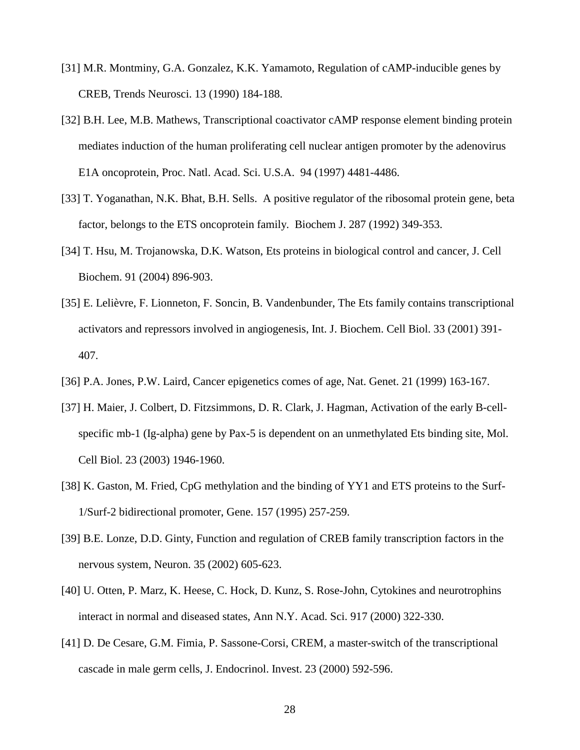- [31] M.R. Montminy, G.A. Gonzalez, K.K. Yamamoto, Regulation of cAMP-inducible genes by CREB, Trends Neurosci. 13 (1990) 184-188.
- [32] B.H. Lee, M.B. Mathews, Transcriptional coactivator cAMP response element binding protein mediates induction of the human proliferating cell nuclear antigen promoter by the adenovirus E1A oncoprotein, Proc. Natl. Acad. Sci. U.S.A. 94 (1997) 4481-4486.
- [33] T. Yoganathan, N.K. Bhat, B.H. Sells. A positive regulator of the ribosomal protein gene, beta factor, belongs to the ETS oncoprotein family. Biochem J. 287 (1992) 349-353.
- [34] T. Hsu, M. Trojanowska, D.K. Watson, Ets proteins in biological control and cancer, J. Cell Biochem. 91 (2004) 896-903.
- [35] E. Lelièvre, F. Lionneton, F. Soncin, B. Vandenbunder, The Ets family contains transcriptional activators and repressors involved in angiogenesis, Int. J. Biochem. Cell Biol. 33 (2001) 391- 407.
- [36] P.A. Jones, P.W. Laird, Cancer epigenetics comes of age, Nat. Genet. 21 (1999) 163-167.
- [37] H. Maier, J. Colbert, D. Fitzsimmons, D. R. Clark, J. Hagman, Activation of the early B-cellspecific mb-1 (Ig-alpha) gene by Pax-5 is dependent on an unmethylated Ets binding site, Mol. Cell Biol. 23 (2003) 1946-1960.
- [38] K. Gaston, M. Fried, CpG methylation and the binding of YY1 and ETS proteins to the Surf-1/Surf-2 bidirectional promoter, Gene. 157 (1995) 257-259.
- [39] B.E. Lonze, D.D. Ginty, Function and regulation of CREB family transcription factors in the nervous system, Neuron. 35 (2002) 605-623.
- [40] U. Otten, P. Marz, K. Heese, C. Hock, D. Kunz, S. Rose-John, Cytokines and neurotrophins interact in normal and diseased states, Ann N.Y. Acad. Sci. 917 (2000) 322-330.
- [41] D. De Cesare, G.M. Fimia, P. Sassone-Corsi, CREM, a master-switch of the transcriptional cascade in male germ cells, J. Endocrinol. Invest. 23 (2000) 592-596.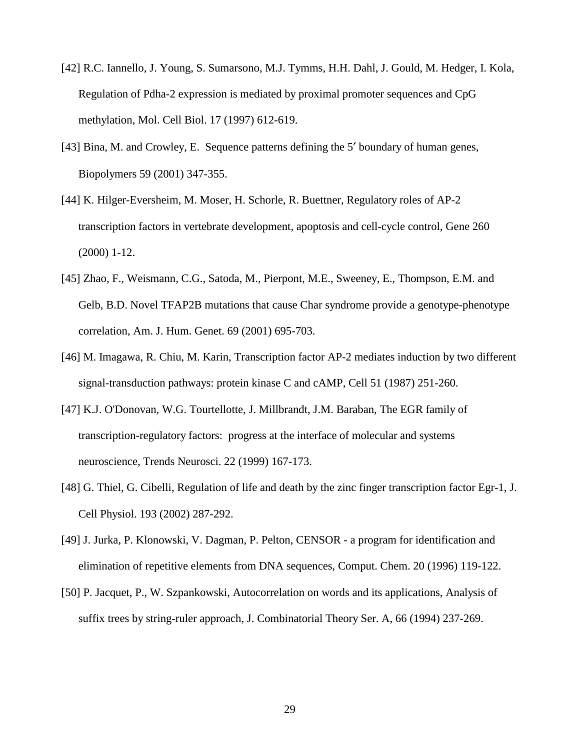- [42] R.C. Iannello, J. Young, S. Sumarsono, M.J. Tymms, H.H. Dahl, J. Gould, M. Hedger, I. Kola, Regulation of Pdha-2 expression is mediated by proximal promoter sequences and CpG methylation, Mol. Cell Biol. 17 (1997) 612-619.
- [43] Bina, M. and Crowley, E. Sequence patterns defining the 5′ boundary of human genes, Biopolymers 59 (2001) 347-355.
- [44] K. Hilger-Eversheim, M. Moser, H. Schorle, R. Buettner, Regulatory roles of AP-2 transcription factors in vertebrate development, apoptosis and cell-cycle control, Gene 260 (2000) 1-12.
- [45] Zhao, F., Weismann, C.G., Satoda, M., Pierpont, M.E., Sweeney, E., Thompson, E.M. and Gelb, B.D. Novel TFAP2B mutations that cause Char syndrome provide a genotype-phenotype correlation, Am. J. Hum. Genet. 69 (2001) 695-703.
- [46] M. Imagawa, R. Chiu, M. Karin, Transcription factor AP-2 mediates induction by two different signal-transduction pathways: protein kinase C and cAMP, Cell 51 (1987) 251-260.
- [47] K.J. O'Donovan, W.G. Tourtellotte, J. Millbrandt, J.M. Baraban, The EGR family of transcription-regulatory factors: progress at the interface of molecular and systems neuroscience, Trends Neurosci. 22 (1999) 167-173.
- [48] G. Thiel, G. Cibelli, Regulation of life and death by the zinc finger transcription factor Egr-1, J. Cell Physiol. 193 (2002) 287-292.
- [49] J. Jurka, P. Klonowski, V. Dagman, P. Pelton, CENSOR a program for identification and elimination of repetitive elements from DNA sequences, Comput. Chem. 20 (1996) 119-122.
- [50] P. Jacquet, P., W. Szpankowski, Autocorrelation on words and its applications, Analysis of suffix trees by string-ruler approach, J. Combinatorial Theory Ser. A, 66 (1994) 237-269.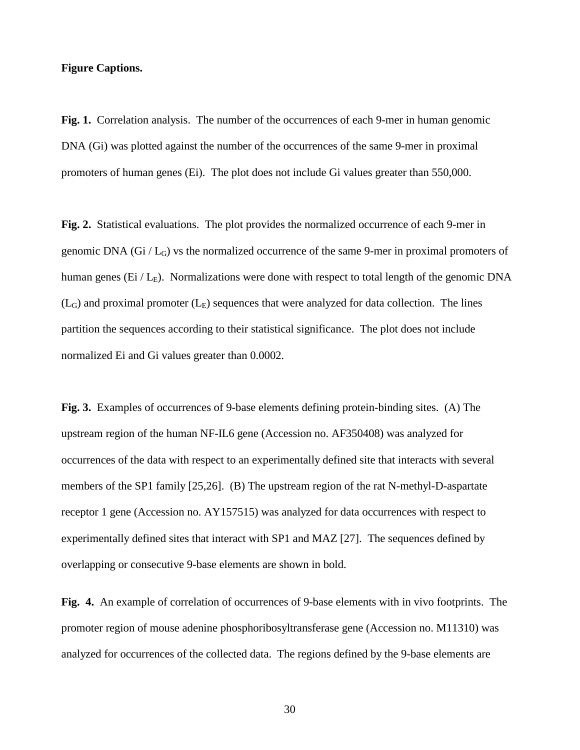# **Figure Captions.**

**Fig. 1.** Correlation analysis. The number of the occurrences of each 9-mer in human genomic DNA (Gi) was plotted against the number of the occurrences of the same 9-mer in proximal promoters of human genes (Ei). The plot does not include Gi values greater than 550,000.

**Fig. 2.** Statistical evaluations. The plot provides the normalized occurrence of each 9-mer in genomic DNA (Gi /  $L_G$ ) vs the normalized occurrence of the same 9-mer in proximal promoters of human genes (Ei /  $L_F$ ). Normalizations were done with respect to total length of the genomic DNA  $(L<sub>G</sub>)$  and proximal promoter  $(L<sub>E</sub>)$  sequences that were analyzed for data collection. The lines partition the sequences according to their statistical significance. The plot does not include normalized Ei and Gi values greater than 0.0002.

**Fig. 3.** Examples of occurrences of 9-base elements defining protein-binding sites. (A) The upstream region of the human NF-IL6 gene (Accession no. AF350408) was analyzed for occurrences of the data with respect to an experimentally defined site that interacts with several members of the SP1 family [25,26]. (B) The upstream region of the rat N-methyl-D-aspartate receptor 1 gene (Accession no. AY157515) was analyzed for data occurrences with respect to experimentally defined sites that interact with SP1 and MAZ [27]. The sequences defined by overlapping or consecutive 9-base elements are shown in bold.

**Fig. 4.** An example of correlation of occurrences of 9-base elements with in vivo footprints. The promoter region of mouse adenine phosphoribosyltransferase gene (Accession no. M11310) was analyzed for occurrences of the collected data. The regions defined by the 9-base elements are